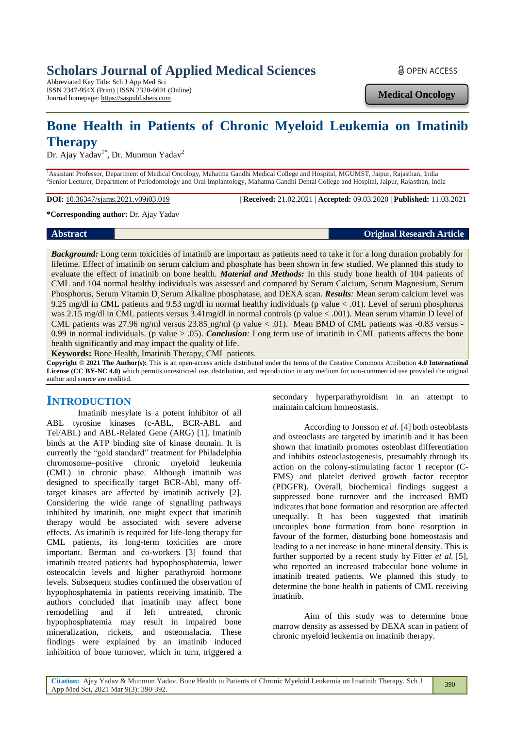# **Scholars Journal of Applied Medical Sciences**

Abbreviated Key Title: Sch J App Med Sci ISSN 2347-954X (Print) | ISSN 2320-6691 (Online) Journal homepage: https://saspublishers.com

**a** OPEN ACCESS

**Medical Oncology**

# **Bone Health in Patients of Chronic Myeloid Leukemia on Imatinib Therapy**

Dr. Ajay Yadav<sup>1\*</sup>, Dr. Munmun Yadav<sup>2</sup>

<sup>1</sup>Assistant Professor, Department of Medical Oncology, Mahatma Gandhi Medical College and Hospital, MGUMST, Jaipur, Rajasthan, India 2 Senior Lecturer, Department of Periodontology and Oral Implantology, Mahatma Gandhi Dental College and Hospital, Jaipur, Rajasthan, India

**DOI:** 10.36347/sjams.2021.v09i03.019 | **Received:** 21.02.2021 | **Accepted:** 09.03.2020 | **Published:** 11.03.2021

**\*Corresponding author:** Dr. Ajay Yadav

**Abstract Original Research Article**

*Background:* Long term toxicities of imatinib are important as patients need to take it for a long duration probably for lifetime. Effect of imatinib on serum calcium and phosphate has been shown in few studied. We planned this study to evaluate the effect of imatinib on bone health. *Material and Methods:* In this study bone health of 104 patients of CML and 104 normal healthy individuals was assessed and compared by Serum Calcium, Serum Magnesium, Serum Phosphorus, Serum Vitamin D, Serum Alkaline phosphatase, and DEXA scan. *Results:* Mean serum calcium level was 9.25 mg/dl in CML patients and 9.53 mg/dl in normal healthy individuals (p value < .01). Level of serum phosphorus was 2.15 mg/dl in CML patients versus 3.41mg/dl in normal controls (p value < .001). Mean serum vitamin D level of CML patients was 27.96 ng/ml versus 23.85 ng/ml (p value < .01). Mean BMD of CML patients was -0.83 versus -0.99 in normal individuals. (p value > .05). *Conclusion:* Long term use of imatinib in CML patients affects the bone health significantly and may impact the quality of life.

**Keywords:** Bone Health, Imatinib Therapy, CML patients.

**Copyright © 2021 The Author(s):** This is an open-access article distributed under the terms of the Creative Commons Attribution **4.0 International License (CC BY-NC 4.0)** which permits unrestricted use, distribution, and reproduction in any medium for non-commercial use provided the original author and source are credited.

## **INTRODUCTION**

Imatinib mesylate is a potent inhibitor of all ABL tyrosine kinases (c-ABL, BCR-ABL and Tel/ABL) and ABL-Related Gene (ARG) [1]. Imatinib binds at the ATP binding site of kinase domain. It is currently the "gold standard" treatment for Philadelphia chromosome–positive chronic myeloid leukemia (CML) in chronic phase. Although imatinib was designed to specifically target BCR-Abl, many offtarget kinases are affected by imatinib actively [2]. Considering the wide range of signalling pathways inhibited by imatinib, one might expect that imatinib therapy would be associated with severe adverse effects. As imatinib is required for life-long therapy for CML patients, its long-term toxicities are more important. Berman and co-workers [3] found that imatinib treated patients had hypophosphatemia, lower osteocalcin levels and higher parathyroid hormone levels. Subsequent studies confirmed the observation of hypophosphatemia in patients receiving imatinib. The authors concluded that imatinib may affect bone remodelling and if left untreated, chronic hypophosphatemia may result in impaired bone mineralization, rickets, and osteomalacia. These findings were explained by an imatinib induced inhibition of bone turnover, which in turn, triggered a

secondary hyperparathyroidism in an attempt to maintain calcium homeostasis.

According to Jonsson *et al.* [4] both osteoblasts and osteoclasts are targeted by imatinib and it has been shown that imatinib promotes osteoblast differentiation and inhibits osteoclastogenesis, presumably through its action on the colony-stimulating factor 1 receptor (C-FMS) and platelet derived growth factor receptor (PDGFR). Overall, biochemical findings suggest a suppressed bone turnover and the increased BMD indicates that bone formation and resorption are affected unequally. It has been suggested that imatinib uncouples bone formation from bone resorption in favour of the former, disturbing bone homeostasis and leading to a net increase in bone mineral density. This is further supported by a recent study by Fitter *et al.* [5], who reported an increased trabecular bone volume in imatinib treated patients. We planned this study to determine the bone health in patients of CML receiving imatinib.

Aim of this study was to determine bone marrow density as assessed by DEXA scan in patient of chronic myeloid leukemia on imatinib therapy.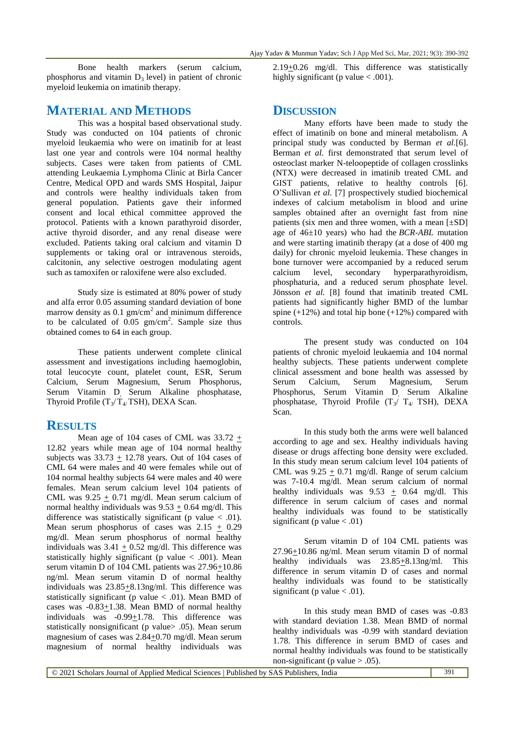Bone health markers (serum calcium, phosphorus and vitamin  $D_3$  level) in patient of chronic myeloid leukemia on imatinib therapy.

### **MATERIAL AND METHODS**

This was a hospital based observational study. Study was conducted on 104 patients of chronic myeloid leukaemia who were on imatinib for at least last one year and controls were 104 normal healthy subjects. Cases were taken from patients of CML attending Leukaemia Lymphoma Clinic at Birla Cancer Centre, Medical OPD and wards SMS Hospital, Jaipur and controls were healthy individuals taken from general population. Patients gave their informed consent and local ethical committee approved the protocol. Patients with a known parathyroid disorder, active thyroid disorder, and any renal disease were excluded. Patients taking oral calcium and vitamin D supplements or taking oral or intravenous steroids, calcitonin, any selective oestrogen modulating agent such as tamoxifen or raloxifene were also excluded.

Study size is estimated at 80% power of study and alfa error 0.05 assuming standard deviation of bone marrow density as  $0.1 \text{ gm/cm}^2$  and minimum difference to be calculated of  $0.05$  gm/cm<sup>2</sup>. Sample size thus obtained comes to 64 in each group.

These patients underwent complete clinical assessment and investigations including haemoglobin, total leucocyte count, platelet count, ESR, Serum Calcium, Serum Magnesium, Serum Phosphorus, Serum Vitamin D, Serum Alkaline phosphatase, Thyroid Profile  $(T_3/T_4$  TSH), DEXA Scan.

#### **RESULTS**

Mean age of 104 cases of CML was  $33.72 +$ 12.82 years while mean age of 104 normal healthy subjects was  $33.73 \pm 12.78$  years. Out of 104 cases of CML 64 were males and 40 were females while out of 104 normal healthy subjects 64 were males and 40 were females. Mean serum calcium level 104 patients of CML was  $9.25 + 0.71$  mg/dl. Mean serum calcium of normal healthy individuals was  $9.53 + 0.64$  mg/dl. This difference was statistically significant (p value  $<$  .01). Mean serum phosphorus of cases was  $2.15 + 0.29$ mg/dl. Mean serum phosphorus of normal healthy individuals was  $3.41 + 0.52$  mg/dl. This difference was statistically highly significant (p value  $< .001$ ). Mean serum vitamin D of 104 CML patients was  $27.96\pm10.86$ ng/ml. Mean serum vitamin D of normal healthy individuals was  $23.85 + 8.13$ ng/ml. This difference was statistically significant (p value  $< .01$ ). Mean BMD of cases was -0.83+1.38. Mean BMD of normal healthy individuals was  $-0.99 \pm 1.78$ . This difference was statistically nonsignificant (p value > .05). Mean serum magnesium of cases was 2.84+0.70 mg/dl. Mean serum magnesium of normal healthy individuals was

 $2.19\pm0.26$  mg/dl. This difference was statistically highly significant (p value  $< .001$ ).

## **DISCUSSION**

Many efforts have been made to study the effect of imatinib on bone and mineral metabolism. A principal study was conducted by Berman *et al.*[6]. Berman *et al.* first demonstrated that serum level of osteoclast marker N-teloopeptide of collagen crosslinks (NTX) were decreased in imatinib treated CML and GIST patients, relative to healthy controls [6]. O'Sullivan *et al.* [7] prospectively studied biochemical indexes of calcium metabolism in blood and urine samples obtained after an overnight fast from nine patients (six men and three women, with a mean  $[\pm SD]$ ) age of 46±10 years) who had the *BCR-ABL* mutation and were starting imatinib therapy (at a dose of 400 mg daily) for chronic myeloid leukemia. These changes in bone turnover were accompanied by a reduced serum calcium level, secondary hyperparathyroidism, phosphaturia, and a reduced serum phosphate level. Jönsson *et al.* [8] found that imatinib treated CML patients had significantly higher BMD of the lumbar spine  $(+12%)$  and total hip bone  $(+12%)$  compared with controls.

The present study was conducted on 104 patients of chronic myeloid leukaemia and 104 normal healthy subjects. These patients underwent complete clinical assessment and bone health was assessed by Serum Calcium, Serum Magnesium, Serum Phosphorus, Serum Vitamin D, Serum Alkaline phosphatase, Thyroid Profile (T<sub>3</sub>/ T<sub>4/</sub> TSH), DEXA Scan.

In this study both the arms were well balanced according to age and sex. Healthy individuals having disease or drugs affecting bone density were excluded. In this study mean serum calcium level 104 patients of CML was  $9.25 + 0.71$  mg/dl. Range of serum calcium was 7-10.4 mg/dl. Mean serum calcium of normal healthy individuals was 9.53  $\pm$  0.64 mg/dl. This difference in serum calcium of cases and normal healthy individuals was found to be statistically significant (p value  $< .01$ )

Serum vitamin D of 104 CML patients was 27.96+10.86 ng/ml. Mean serum vitamin D of normal healthy individuals was 23.85+8.13ng/ml. This difference in serum vitamin D of cases and normal healthy individuals was found to be statistically significant (p value  $< .01$ ).

In this study mean BMD of cases was -0.83 with standard deviation 1.38. Mean BMD of normal healthy individuals was -0.99 with standard deviation 1.78. This difference in serum BMD of cases and normal healthy individuals was found to be statistically non-significant (p value  $> .05$ ).